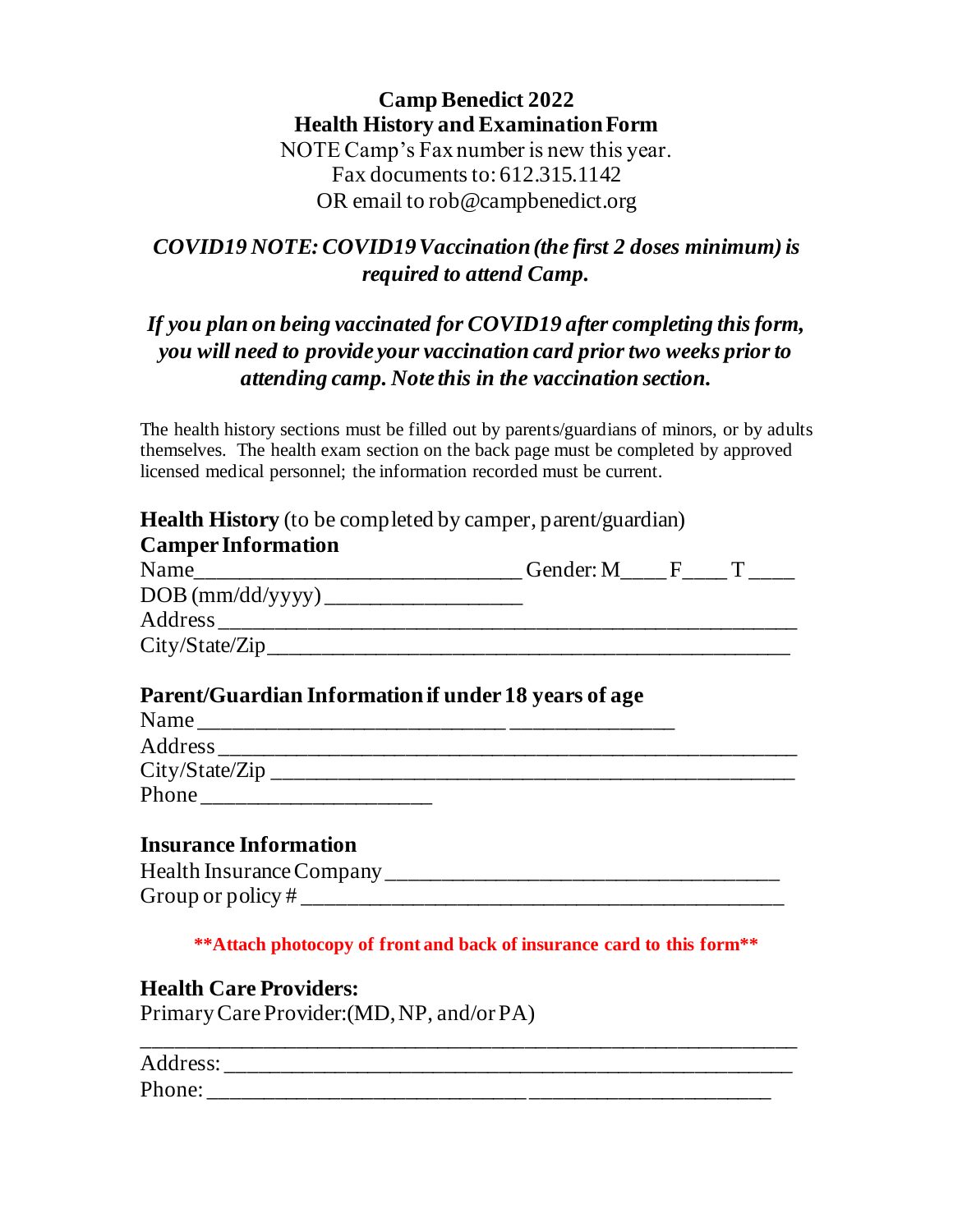## **Camp Benedict 2022 Health History and Examination Form** NOTE Camp's Fax number is new this year. Fax documents to: 612.315.1142

OR email to rob@campbenedict.org

# *COVID19 NOTE: COVID19 Vaccination (the first 2 doses minimum) is required to attend Camp.*

# *If you plan on being vaccinated for COVID19 after completing this form, you will need to provide your vaccination card prior two weeks prior to attending camp. Note this in the vaccination section.*

The health history sections must be filled out by parents/guardians of minors, or by adults themselves. The health exam section on the back page must be completed by approved licensed medical personnel; the information recorded must be current.

| <b>Camper Information</b>                            |  |  |
|------------------------------------------------------|--|--|
|                                                      |  |  |
|                                                      |  |  |
|                                                      |  |  |
| City/State/Zip                                       |  |  |
| Parent/Guardian Information if under 18 years of age |  |  |
|                                                      |  |  |
|                                                      |  |  |
|                                                      |  |  |
|                                                      |  |  |
| <b>Insurance Information</b>                         |  |  |
|                                                      |  |  |
|                                                      |  |  |

**Health Care Providers:** Primary Care Provider:(MD, NP, and/or PA)

| Address: |  |  |  |
|----------|--|--|--|
| Phone:   |  |  |  |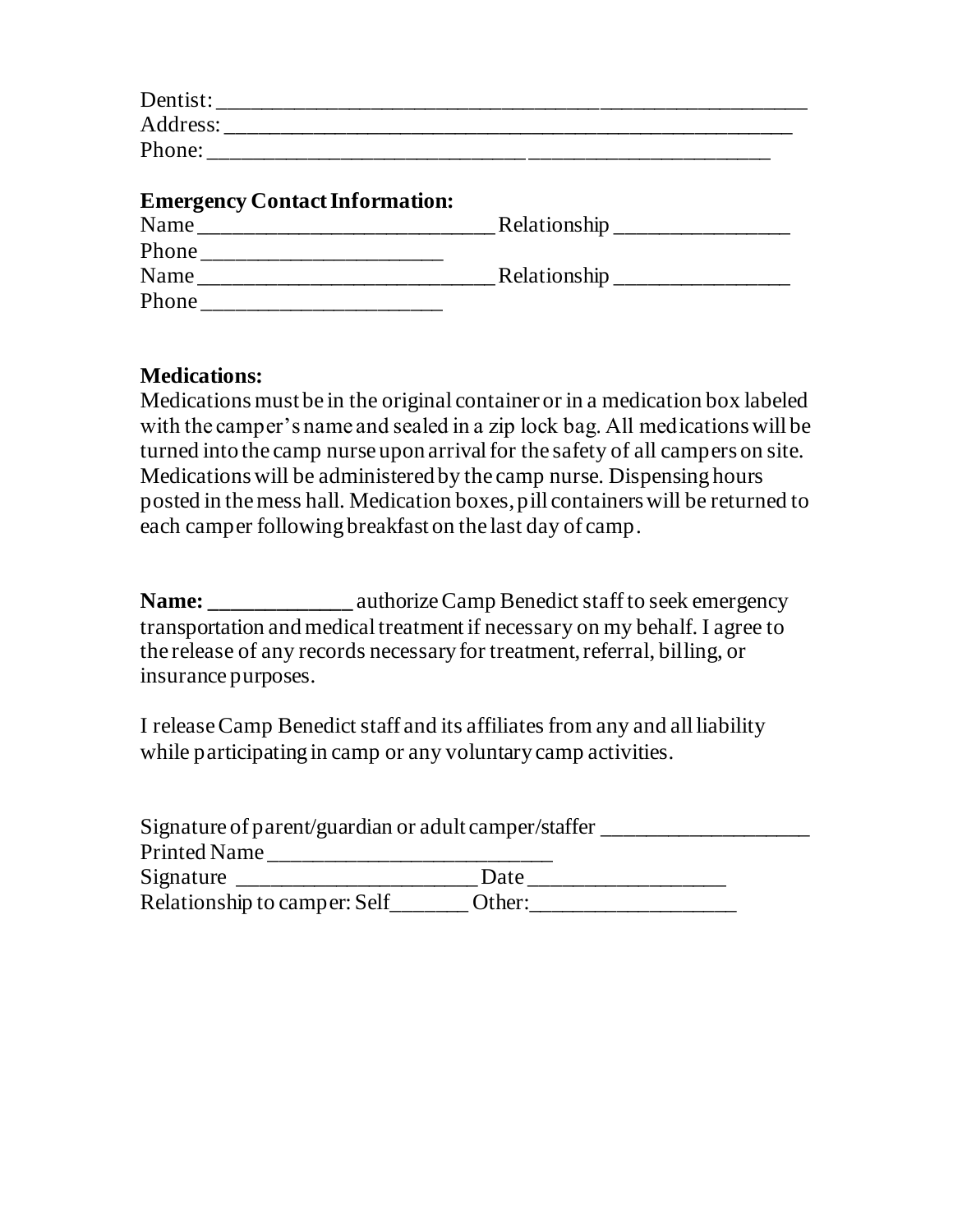| <b>Emergency Contact Information:</b> |  |
|---------------------------------------|--|
| Name                                  |  |
|                                       |  |
| Name                                  |  |
| Phone                                 |  |

## **Medications:**

Medications must be in the original container or in a medication box labeled with the camper's name and sealed in a zip lock bag. All medications will be turned into the camp nurse upon arrival for the safety of all campers on site. Medications will be administered by the camp nurse. Dispensing hours posted in the mess hall. Medication boxes, pill containers will be returned to each camper following breakfast on the last day of camp.

**Name: \_\_\_\_\_\_\_\_\_\_\_\_\_** authorize Camp Benedict staff to seek emergency transportation and medical treatment if necessary on my behalf. I agree to the release of any records necessary for treatment, referral, billing, or insurance purposes.

I release Camp Benedict staff and its affiliates from any and all liability while participating in camp or any voluntary camp activities.

| Signature of parent/guardian or adult camper/staffer |        |  |
|------------------------------------------------------|--------|--|
| <b>Printed Name</b>                                  |        |  |
| Signature                                            | Date   |  |
| Relationship to camper: Self                         | Other: |  |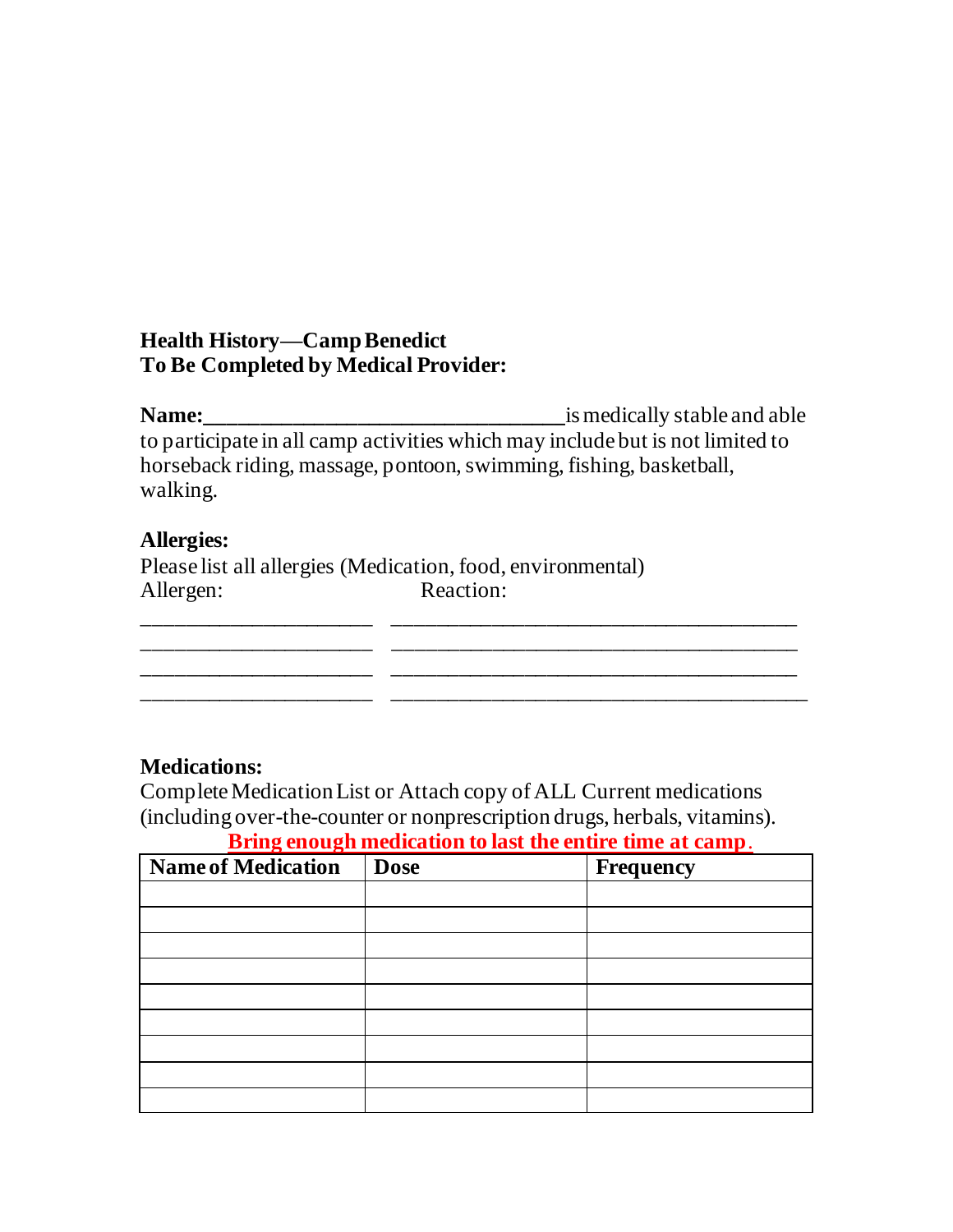## **Health History—CampBenedict To Be Completed by Medical Provider:**

**Name:\_\_\_\_\_\_\_\_\_\_\_\_\_\_\_\_\_\_\_\_\_\_\_\_\_\_\_\_\_\_\_\_\_**is medically stable and able to participate in all camp activities which may include but is not limited to horseback riding, massage, pontoon, swimming, fishing, basketball, walking.

\_\_\_\_\_\_\_\_\_\_\_\_\_\_\_\_\_\_\_\_\_ \_\_\_\_\_\_\_\_\_\_\_\_\_\_\_\_\_\_\_\_\_\_\_\_\_\_\_\_\_\_\_\_\_\_\_\_\_ \_\_\_\_\_\_\_\_\_\_\_\_\_\_\_\_\_\_\_\_\_ \_\_\_\_\_\_\_\_\_\_\_\_\_\_\_\_\_\_\_\_\_\_\_\_\_\_\_\_\_\_\_\_\_\_\_\_\_ \_\_\_\_\_\_\_\_\_\_\_\_\_\_\_\_\_\_\_\_\_ \_\_\_\_\_\_\_\_\_\_\_\_\_\_\_\_\_\_\_\_\_\_\_\_\_\_\_\_\_\_\_\_\_\_\_\_\_ \_\_\_\_\_\_\_\_\_\_\_\_\_\_\_\_\_\_\_\_\_ \_\_\_\_\_\_\_\_\_\_\_\_\_\_\_\_\_\_\_\_\_\_\_\_\_\_\_\_\_\_\_\_\_\_\_\_\_\_

#### **Allergies:**

Please list all allergies (Medication, food, environmental) Allergen: Reaction:

#### **Medications:**

Complete Medication List or Attach copy of ALL Current medications (including over-the-counter or nonprescription drugs, herbals, vitamins). **Bring enough medication to last the entire time at camp**.

| <b>Name of Medication</b> | <b>Dose</b> | Frequency |
|---------------------------|-------------|-----------|
|                           |             |           |
|                           |             |           |
|                           |             |           |
|                           |             |           |
|                           |             |           |
|                           |             |           |
|                           |             |           |
|                           |             |           |
|                           |             |           |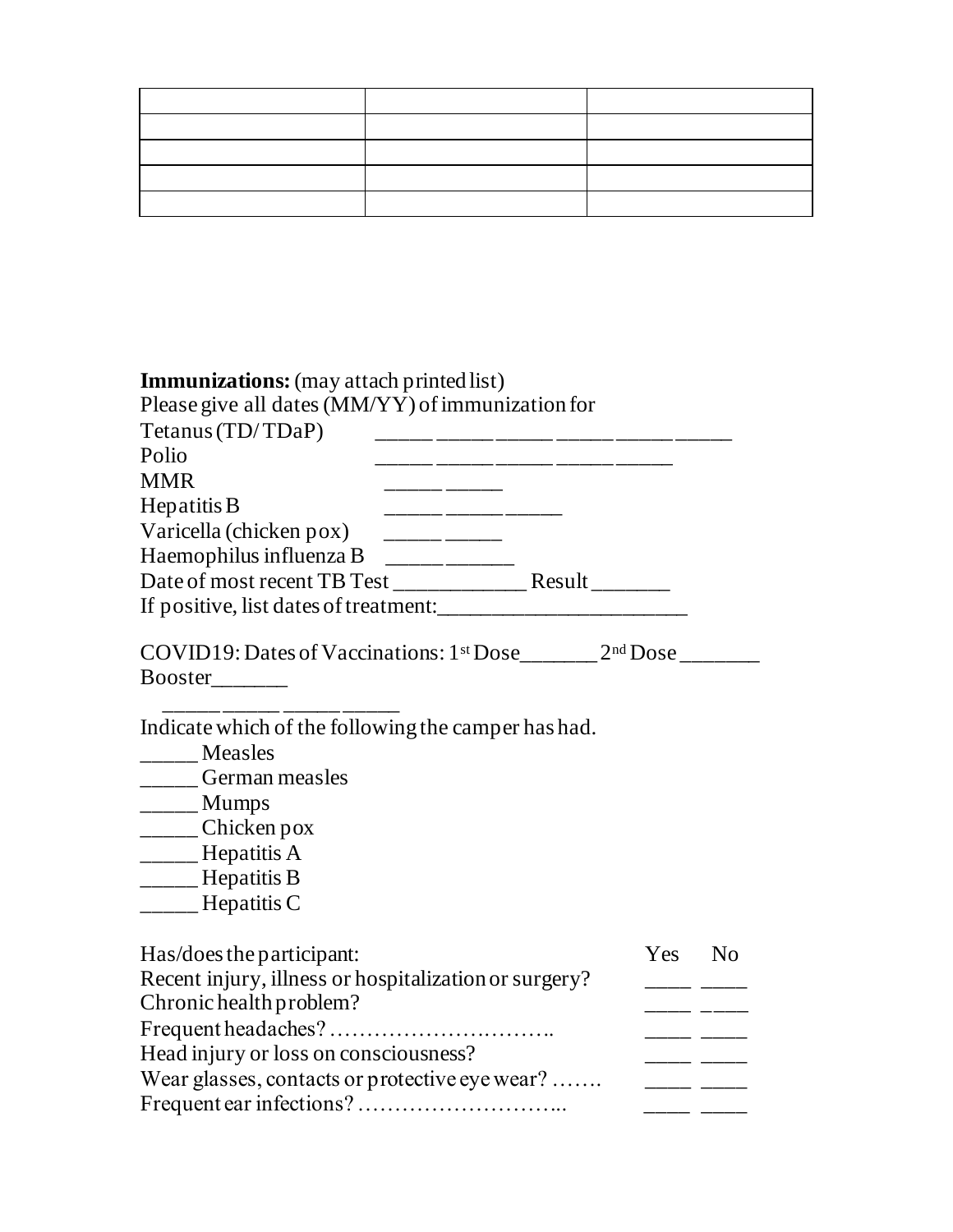| <b>Immunizations:</b> (may attach printed list)                                                                                                                                                                           |                   |            |
|---------------------------------------------------------------------------------------------------------------------------------------------------------------------------------------------------------------------------|-------------------|------------|
| Please give all dates (MM/YY) of immunization for                                                                                                                                                                         |                   |            |
| Tetanus (TD/TDaP)                                                                                                                                                                                                         |                   |            |
| Polio                                                                                                                                                                                                                     |                   |            |
| <b>MMR</b>                                                                                                                                                                                                                |                   |            |
| Hepatitis B<br>————— ————— ————                                                                                                                                                                                           |                   |            |
| Varicella (chicken pox) $\frac{1}{2}$                                                                                                                                                                                     |                   |            |
| Haemophilus influenza B $\_\_$                                                                                                                                                                                            |                   |            |
|                                                                                                                                                                                                                           |                   |            |
|                                                                                                                                                                                                                           |                   |            |
| $\text{COVID19:}\text{Dates of Vaccinations:}\ 1^{\text{st}}\text{Dose}\_$ 2 <sup>nd</sup> Dose                                                                                                                           |                   |            |
| <b>Booster</b>                                                                                                                                                                                                            |                   |            |
| Indicate which of the following the camper has had.<br>______ Measles<br>_____German measles<br>$\frac{1}{2}$ Mumps<br>$\frac{1}{2}$ Chicken pox<br>_____Hepatitis A<br>________ Hepatitis B<br>$\frac{1}{2}$ Hepatitis C |                   |            |
| Has/does the participant:<br>Recent injury, illness or hospitalization or surgery?<br>Chronic health problem?                                                                                                             | Yes No<br>____ __ | _____ ____ |
|                                                                                                                                                                                                                           |                   |            |
| Head injury or loss on consciousness?                                                                                                                                                                                     |                   | ___ __     |
| Wear glasses, contacts or protective eye wear?                                                                                                                                                                            |                   |            |
|                                                                                                                                                                                                                           | ————————          |            |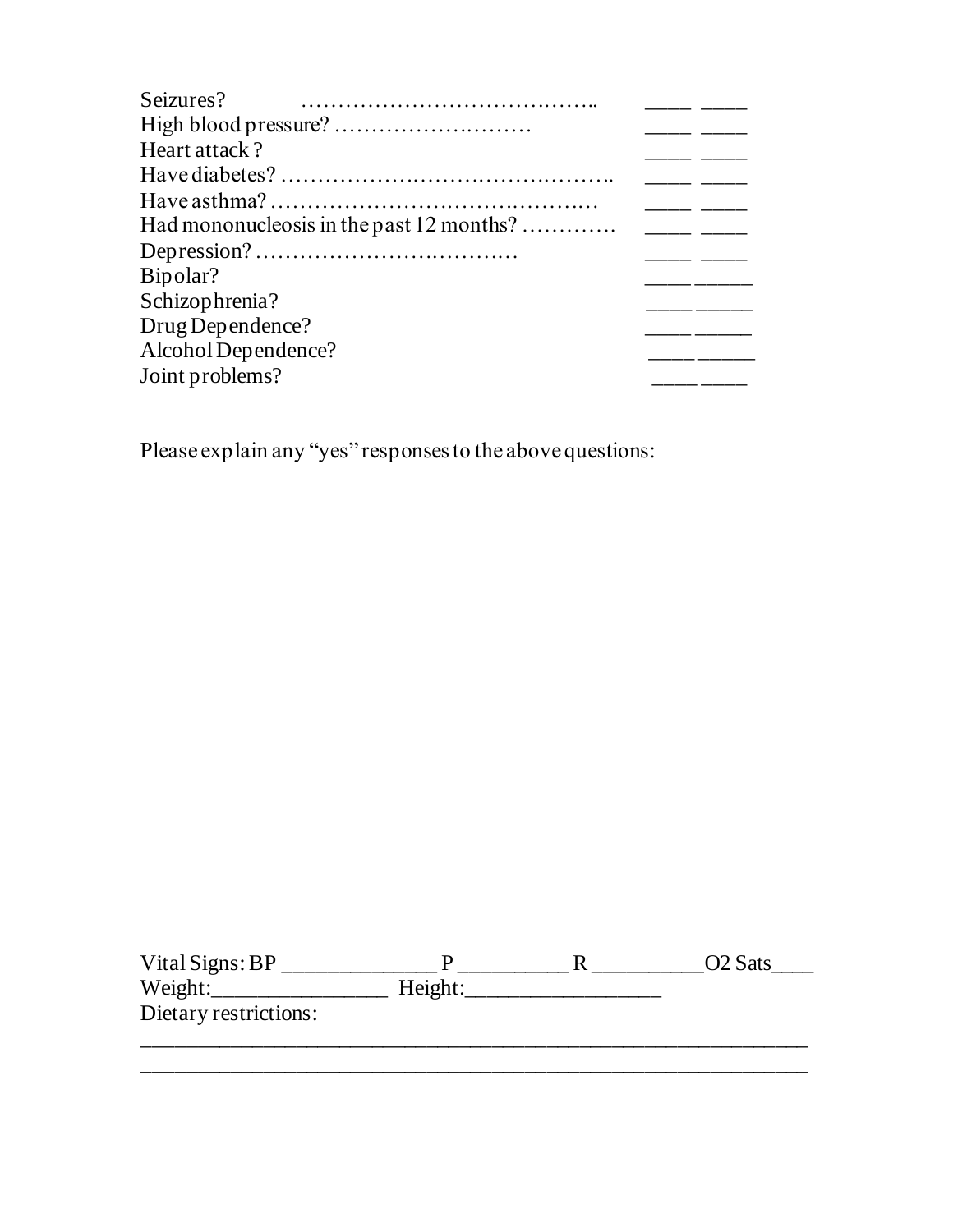| Seizures?                                |  |
|------------------------------------------|--|
|                                          |  |
| Heart attack?                            |  |
|                                          |  |
|                                          |  |
| Had mononucleosis in the past 12 months? |  |
|                                          |  |
| Bipolar?                                 |  |
| Schizophrenia?                           |  |
| Drug Dependence?                         |  |
| Alcohol Dependence?                      |  |
| Joint problems?                          |  |

Please explain any "yes" responses to the above questions:

| Vital Signs: $BP$     |         | O <sub>2</sub> Sats |
|-----------------------|---------|---------------------|
| Weight:               | Height: |                     |
| Dietary restrictions: |         |                     |
|                       |         |                     |

\_\_\_\_\_\_\_\_\_\_\_\_\_\_\_\_\_\_\_\_\_\_\_\_\_\_\_\_\_\_\_\_\_\_\_\_\_\_\_\_\_\_\_\_\_\_\_\_\_\_\_\_\_\_\_\_\_\_\_\_\_